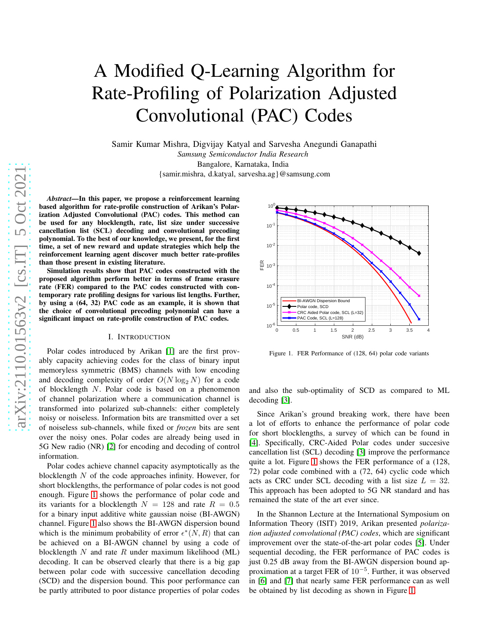# A Modified Q-Learning Algorithm for Rate-Profiling of Polarization Adjusted Convolutional (PAC) Codes

Samir Kumar Mishra, Digvijay Katyal and Sarvesha Anegundi Ganapathi *Samsung Semiconductor India Research* Bangalore, Karnataka, India {samir.mishra, d.katyal, sarvesha.ag}@samsung.com

*Abstract*—In this paper, we propose a reinforcement learning based algorithm for rate-profile construction of Arikan's Polarization Adjusted Convolutional (PAC) codes. This method can be used for any blocklength, rate, list size under successiv e cancellation list (SCL) decoding and convolutional precoding polynomial. To the best of our knowledge, we present, for the first time, a set of new reward and update strategies which help the reinforcement learning agent discover much better rate-profiles than those present in existing literature.

Simulation results show that PAC codes constructed with the proposed algorithm perform better in terms of frame erasure rate (FER) compared to the PAC codes constructed with contemporary rate profiling designs for various list lengths. Further, by using a (64, 32) PAC code as an example, it is shown that the choice of convolutional precoding polynomial can have a significant impact on rate-profile construction of PAC codes .

#### I. INTRODUCTION

Polar codes introduced by Arikan [\[1\]](#page-5-0) are the first provably capacity achieving codes for the class of binary input memoryless symmetric (BMS) channels with low encoding and decoding complexity of order  $O(N \log_2 N)$  for a code of blocklength N. Polar code is based on a phenomenon of channel polarization where a communication channel is transformed into polarized sub-channels: either completely noisy or noiseless. Information bits are transmitted over a set of noiseless sub-channels, while fixed or *frozen* bits are sent over the noisy ones. Polar codes are already being used in 5G New radio (NR) [\[2\]](#page-5-1) for encoding and decoding of control information.

Polar codes achieve channel capacity asymptotically as the blocklength N of the code approaches infinity. However, for short blocklengths, the performance of polar codes is not good enough. Figure [1](#page-0-0) shows the performance of polar code and its variants for a blocklength  $N = 128$  and rate  $R = 0.5$ for a binary input additive white gaussian noise (BI-AWGN) channel. Figure [1](#page-0-0) also shows the BI-AWGN dispersion bound which is the minimum probability of error  $\epsilon^*(N, R)$  that can be achieved on a BI-AWGN channel by using a code of blocklength  $N$  and rate  $R$  under maximum likelihood (ML) decoding. It can be observed clearly that there is a big gap between polar code with successive cancellation decoding (SCD) and the dispersion bound. This poor performance can be partly attributed to poor distance properties of polar codes



<span id="page-0-0"></span>Figure 1. FER Performance of (128, 64) polar code variants

and also the sub-optimality of SCD as compared to ML decoding [\[3\]](#page-5-2).

Since Arikan's ground breaking work, there have been a lot of efforts to enhance the performance of polar code for short blocklengths, a survey of which can be found in [\[4\]](#page-5-3). Specifically, CRC-Aided Polar codes under succesive cancellation list (SCL) decoding [\[3\]](#page-5-2) improve the performance quite a lot. Figure [1](#page-0-0) shows the FER performance of a (128, 72) polar code combined with a (72, 64) cyclic code which acts as CRC under SCL decoding with a list size  $L = 32$ . This approach has been adopted to 5G NR standard and has remained the state of the art ever since.

In the Shannon Lecture at the International Symposium on Information Theory (ISIT) 2019, Arikan presented *polarization adjusted convolutional (PAC) codes*, which are significant improvement over the state-of-the-art polar codes [\[5\]](#page-5-4). Under sequential decoding, the FER performance of PAC codes is just 0.25 dB away from the BI-AWGN dispersion bound approximation at a target FER of  $10^{-5}$ . Further, it was observed in [\[6\]](#page-5-5) and [\[7\]](#page-5-6) that nearly same FER performance can as well be obtained by list decoding as shown in Figure [1.](#page-0-0)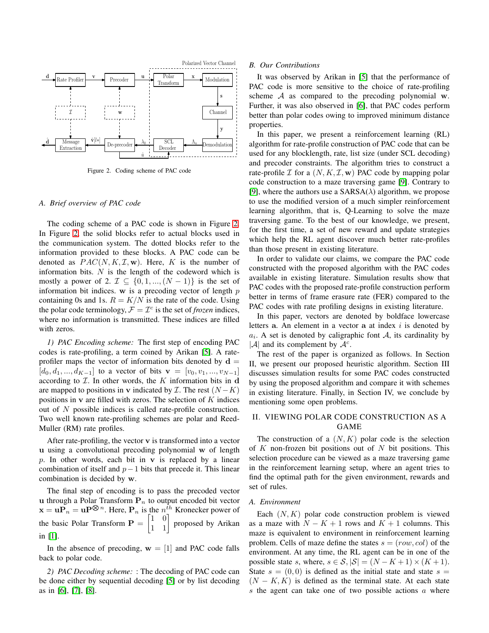

<span id="page-1-0"></span>Figure 2. Coding scheme of PAC code

### *A. Brief overview of PAC code*

The coding scheme of a PAC code is shown in Figure [2.](#page-1-0) In Figure [2,](#page-1-0) the solid blocks refer to actual blocks used in the communication system. The dotted blocks refer to the information provided to these blocks. A PAC code can be denoted as  $PAC(N, K, \mathcal{I}, \mathbf{w})$ . Here, K is the number of information bits.  $N$  is the length of the codeword which is mostly a power of 2.  $\mathcal{I} \subseteq \{0, 1, ..., (N-1)\}\$ is the set of information bit indices. w is a precoding vector of length  $p$ containing 0s and 1s.  $R = K/N$  is the rate of the code. Using the polar code terminology,  $\mathcal{F} = \mathcal{I}^c$  is the set of *frozen* indices, where no information is transmitted. These indices are filled with zeros.

*1) PAC Encoding scheme:* The first step of encoding PAC codes is rate-profiling, a term coined by Arikan [\[5\]](#page-5-4). A rateprofiler maps the vector of information bits denoted by  $\mathbf{d} =$  $[d_0, d_1, ..., d_{K-1}]$  to a vector of bits  $\mathbf{v} = [v_0, v_1, ..., v_{N-1}]$ according to  $I$ . In other words, the K information bits in d are mapped to positions in v indicated by  $\mathcal{I}$ . The rest  $(N - K)$ positions in  $\bf{v}$  are filled with zeros. The selection of  $K$  indices out of N possible indices is called rate-profile construction. Two well known rate-profiling schemes are polar and Reed-Muller (RM) rate profiles.

After rate-profiling, the vector  $v$  is transformed into a vector u using a convolutional precoding polynomial w of length p. In other words, each bit in  $v$  is replaced by a linear combination of itself and  $p-1$  bits that precede it. This linear combination is decided by w.

The final step of encoding is to pass the precoded vector u through a Polar Transform  $P_n$  to output encoded bit vector  $\mathbf{x} = \mathbf{u} \mathbf{P} \otimes \mathbf{P}^n$ . Here,  $\mathbf{P}_n$  is the  $n_{\perp}^{th}$  Kronecker power of the basic Polar Transform  $\mathbf{P} = \begin{bmatrix} 1 & 0 \\ 1 & 1 \end{bmatrix}$ proposed by Arikan in [\[1\]](#page-5-0).

In the absence of precoding,  $w = [1]$  and PAC code falls back to polar code.

*2) PAC Decoding scheme:* : The decoding of PAC code can be done either by sequential decoding [\[5\]](#page-5-4) or by list decoding as in [\[6\]](#page-5-5), [\[7\]](#page-5-6), [\[8\]](#page-5-7).

#### *B. Our Contributions*

It was observed by Arikan in [\[5\]](#page-5-4) that the performance of PAC code is more sensitive to the choice of rate-profiling scheme  $A$  as compared to the precoding polynomial w. Further, it was also observed in [\[6\]](#page-5-5), that PAC codes perform better than polar codes owing to improved minimum distance properties.

In this paper, we present a reinforcement learning (RL) algorithm for rate-profile construction of PAC code that can be used for any blocklength, rate, list size (under SCL decoding) and precoder constraints. The algorithm tries to construct a rate-profile  $\mathcal I$  for a  $(N, K, \mathcal I, \mathbf{w})$  PAC code by mapping polar code construction to a maze traversing game [\[9\]](#page-5-8). Contrary to [\[9\]](#page-5-8), where the authors use a  $SARSA(\lambda)$  algorithm, we propose to use the modified version of a much simpler reinforcement learning algorithm, that is, Q-Learning to solve the maze traversing game. To the best of our knowledge, we present, for the first time, a set of new reward and update strategies which help the RL agent discover much better rate-profiles than those present in existing literature.

In order to validate our claims, we compare the PAC code constructed with the proposed algorithm with the PAC codes available in existing literature. Simulation results show that PAC codes with the proposed rate-profile construction perform better in terms of frame erasure rate (FER) compared to the PAC codes with rate profiling designs in existing literature.

In this paper, vectors are denoted by boldface lowercase letters  $a$ . An element in a vector  $a$  at index  $i$  is denoted by  $a_i$ . A set is denoted by caligraphic font A, its cardinality by  $|\mathcal{A}|$  and its complement by  $\mathcal{A}^c$ .

The rest of the paper is organized as follows. In Section II, we present our proposed heuristic algorithm. Section III discusses simulation results for some PAC codes constructed by using the proposed algorithm and compare it with schemes in existing literature. Finally, in Section IV, we conclude by mentioning some open problems.

# II. VIEWING POLAR CODE CONSTRUCTION AS A GAME

The construction of a  $(N, K)$  polar code is the selection of  $K$  non-frozen bit positions out of  $N$  bit positions. This selection procedure can be viewed as a maze traversing game in the reinforcement learning setup, where an agent tries to find the optimal path for the given environment, rewards and set of rules.

## <span id="page-1-1"></span>*A. Environment*

Each  $(N, K)$  polar code construction problem is viewed as a maze with  $N - K + 1$  rows and  $K + 1$  columns. This maze is equivalent to environment in reinforcement learning problem. Cells of maze define the states  $s = (row, col)$  of the environment. At any time, the RL agent can be in one of the possible state s, where,  $s \in S$ ,  $|S| = (N - K + 1) \times (K + 1)$ . State  $s = (0, 0)$  is defined as the initial state and state  $s =$  $(N - K, K)$  is defined as the terminal state. At each state s the agent can take one of two possible actions a where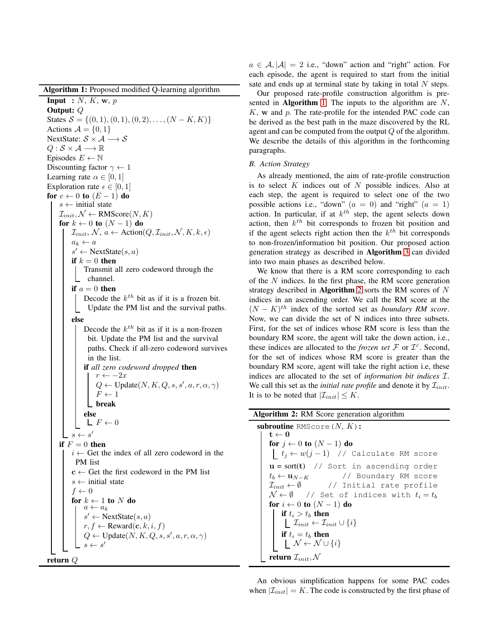Algorithm 1: Proposed modified Q-learning algorithm

**Input** :  $N$ ,  $K$ ,  $w$ ,  $p$ Output: Q States  $S = \{(0, 1), (0, 1), (0, 2), \ldots, (N - K, K)\}\$ Actions  $\mathcal{A} = \{0, 1\}$ NextState:  $S \times A \longrightarrow S$  $Q : \mathcal{S} \times \mathcal{A} \longrightarrow \mathbb{R}$ Episodes  $E \leftarrow \mathbb{N}$ Discounting factor  $\gamma \leftarrow 1$ Learning rate  $\alpha \in [0, 1]$ Exploration rate  $\epsilon \in [0, 1]$ for  $e \leftarrow 0$  to  $(E - 1)$  do  $s \leftarrow$  initial state  $\mathcal{I}_{init}, \mathcal{N} \leftarrow \text{RMScore}(N, K)$ for  $k \leftarrow 0$  to  $(N-1)$  do  $\mathcal{I}_{init}, \mathcal{N}, a \leftarrow \text{Action}(Q, \mathcal{I}_{init}, \mathcal{N}, K, k, \epsilon)$  $a_k \leftarrow a$  $s' \leftarrow$  NextState $(s, a)$ if  $k = 0$  then Transmit all zero codeword through the channel. if  $a = 0$  then Decode the  $k^{th}$  bit as if it is a frozen bit. Update the PM list and the survival paths. else Decode the  $k^{th}$  bit as if it is a non-frozen bit. Update the PM list and the survival paths. Check if all-zero codeword survives in the list. if *all zero codeword dropped* then  $r \leftarrow -2x$  $Q \leftarrow \text{Update}(N, K, Q, s, s', a, r, \alpha, \gamma)$  $F \leftarrow 1$ break else  $L F \leftarrow 0$  $s \leftarrow s'$ if  $F = 0$  then  $i \leftarrow$  Get the index of all zero codeword in the PM list  $c \leftarrow$  Get the first codeword in the PM list  $s \leftarrow$  initial state  $f \leftarrow 0$ for  $k \leftarrow 1$  to N do  $a \leftarrow a_k$  $s' \leftarrow \text{NextState}(s, a)$  $r, f \leftarrow \text{Reward}(\mathbf{c}, k, i, f)$  $Q \leftarrow \text{Update}(N, K, Q, s, s', a, r, \alpha, \gamma)$  $s \leftarrow s'$ 

return Q

 $a \in \mathcal{A}, |\mathcal{A}| = 2$  i.e., "down" action and "right" action. For each episode, the agent is required to start from the initial sate and ends up at terminal state by taking in total  $N$  steps.

Our proposed rate-profile construction algorithm is presented in **Algorithm** [1.](#page-1-1) The inputs to the algorithm are  $N$ ,  $K$ , w and  $p$ . The rate-profile for the intended PAC code can be derived as the best path in the maze discovered by the RL agent and can be computed from the output  $Q$  of the algorithm. We describe the details of this algorithm in the forthcoming paragraphs.

# *B. Action Strategy*

As already mentioned, the aim of rate-profile construction is to select  $K$  indices out of  $N$  possible indices. Also at each step, the agent is required to select one of the two possible actions i.e., "down"  $(a = 0)$  and "right"  $(a = 1)$ action. In particular, if at  $k^{th}$  step, the agent selects down action, then  $k^{th}$  bit corresponds to frozen bit position and if the agent selects right action then the  $k^{th}$  bit corresponds to non-frozen/information bit position. Our proposed action generation strategy as described in Algorithm [3](#page-3-0) can divided into two main phases as described below.

We know that there is a RM score corresponding to each of the  $N$  indices. In the first phase, the RM score generation strategy described in Algorithm [2](#page-2-0) sorts the RM scores of  $N$ indices in an ascending order. We call the RM score at the  $(N - K)^{th}$  index of the sorted set as *boundary RM score*. Now, we can divide the set of N indices into three subsets. First, for the set of indices whose RM score is less than the boundary RM score, the agent will take the down action, i.e., these indices are allocated to the *frozen set*  $\mathcal F$  or  $\mathcal I^c$ . Second, for the set of indices whose RM score is greater than the boundary RM score, agent will take the right action i.e, these indices are allocated to the set of *information bit indices* I. We call this set as the *initial rate profile* and denote it by  $\mathcal{I}_{init}$ . It is to be noted that  $|\mathcal{I}_{init}| \leq K$ .

## <span id="page-2-0"></span>Algorithm 2: RM Score generation algorithm

subroutine RMScore $(N, K)$ :  $t \leftarrow 0$ for  $j \leftarrow 0$  to  $(N - 1)$  do  $|t_j \leftarrow w(j-1)$  // Calculate RM score  $u = sort(t)$  // Sort in ascending order  $t_b \leftarrow \mathbf{u}_{N-K}$  // Boundary RM score  $\mathcal{I}_{init} \leftarrow \emptyset$  // Initial rate profile  $\mathcal{N} \leftarrow \emptyset$  // Set of indices with  $t_i = t_b$ for  $i \leftarrow 0$  to  $(N - 1)$  do if  $t_i > t_b$  then  $\Box$   $\mathcal{I}_{init} \leftarrow \mathcal{I}_{init} \cup \{i\}$ if  $t_i = t_b$  then  $\mathcal{N} \leftarrow \mathcal{N} \cup \{i\}$ return  $\mathcal{I}_{init}$ , N

An obvious simplification happens for some PAC codes when  $|\mathcal{I}_{init}| = K$ . The code is constructed by the first phase of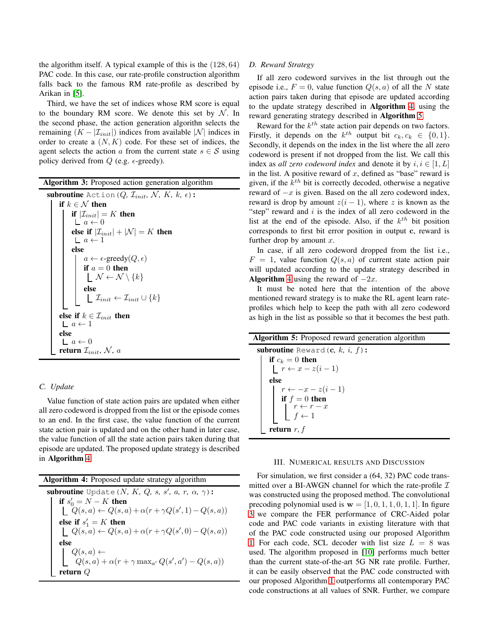the algorithm itself. A typical example of this is the (128, 64) PAC code. In this case, our rate-profile construction algorithm falls back to the famous RM rate-profile as described by Arikan in [\[5\]](#page-5-4).

Third, we have the set of indices whose RM score is equal to the boundary RM score. We denote this set by  $N$ . In the second phase, the action generation algorithn selects the remaining  $(K - |\mathcal{I}_{init}|)$  indices from available  $|\mathcal{N}|$  indices in order to create a  $(N, K)$  code. For these set of indices, the agent selects the action a from the current state  $s \in \mathcal{S}$  using policy derived from  $Q$  (e.g.  $\epsilon$ -greedy).

<span id="page-3-0"></span>

| <b>Algorithm 3:</b> Proposed action generation algorithm                                   |  |  |  |  |
|--------------------------------------------------------------------------------------------|--|--|--|--|
| subroutine Action ( $Q$ , $\mathcal{I}_{init}$ , $\mathcal{N}$ , $K$ , $k$ , $\epsilon$ ): |  |  |  |  |
| if $k \in \mathcal{N}$ then                                                                |  |  |  |  |
| if $ \mathcal{I}_{init}  = K$ then                                                         |  |  |  |  |
| $a \leftarrow 0$                                                                           |  |  |  |  |
| else if $ \mathcal{I}_{init}  +  \mathcal{N}  = K$ then                                    |  |  |  |  |
| $a \leftarrow 1$                                                                           |  |  |  |  |
| else                                                                                       |  |  |  |  |
| $a \leftarrow \epsilon$ -greedy $(Q, \epsilon)$                                            |  |  |  |  |
| if $a = 0$ then                                                                            |  |  |  |  |
| $\mathcal{N} \leftarrow \mathcal{N} \setminus \{k\}$                                       |  |  |  |  |
| else                                                                                       |  |  |  |  |
| $\left\lfloor \right. \mathcal{I}_{init} \leftarrow \mathcal{I}_{init} \cup \{k\}$         |  |  |  |  |
|                                                                                            |  |  |  |  |
| else if $k \in \mathcal{I}_{init}$ then                                                    |  |  |  |  |
| $a \leftarrow 1$                                                                           |  |  |  |  |
| else                                                                                       |  |  |  |  |
| $a \leftarrow 0$                                                                           |  |  |  |  |
| return $\mathcal{I}_{init}$ , N, a                                                         |  |  |  |  |

## *C. Update*

Value function of state action pairs are updated when either all zero codeword is dropped from the list or the episode comes to an end. In the first case, the value function of the current state action pair is updated and on the other hand in later case, the value function of all the state action pairs taken during that episode are updated. The proposed update strategy is described in Algorithm [4.](#page-3-1)

<span id="page-3-1"></span>Algorithm 4: Proposed update strategy algorithm  $\textbf{subroutine Update}(N, K, Q, s, s', a, r, \alpha, \gamma):$ if  $s'_0 = N - K$  then  $Q(s, a) \leftarrow Q(s, a) + \alpha(r + \gamma Q(s', 1) - Q(s, a))$ else if  $s'_1 = K$  then  $Q(s, a) \leftarrow Q(s, a) + \alpha(r + \gamma Q(s', 0) - Q(s, a))$ else  $Q(s,a) \leftarrow$  $Q(s, a) + \alpha(r + \gamma \max_{a'} Q(s', a') - Q(s, a))$ return Q

## *D. Reward Strategy*

If all zero codeword survives in the list through out the episode i.e.,  $F = 0$ , value function  $Q(s, a)$  of all the N state action pairs taken during that episode are updated according to the update strategy described in Algorithm [4,](#page-3-1) using the reward generating strategy described in Algorithm [5.](#page-3-2)

Reward for the  $k^{th}$  state action pair depends on two factors. Firstly, it depends on the  $k^{th}$  output bit  $c_k, c_k \in \{0, 1\}.$ Secondly, it depends on the index in the list where the all zero codeword is present if not dropped from the list. We call this index as *all zero codeword index* and denote it by  $i, i \in [1, L]$ in the list. A positive reward of  $x$ , defined as "base" reward is given, if the  $k^{th}$  bit is correctly decoded, otherwise a negative reward of  $-x$  is given. Based on the all zero codeword index, reward is drop by amount  $z(i - 1)$ , where z is known as the "step" reward and  $i$  is the index of all zero codeword in the list at the end of the episode. Also, if the  $k^{th}$  bit position corresponds to first bit error position in output c, reward is further drop by amount  $x$ .

In case, if all zero codeword dropped from the list i.e.,  $F = 1$ , value function  $Q(s, a)$  of current state action pair will updated according to the update strategy described in Algorithm [4](#page-3-1) using the reward of  $-2x$ .

It must be noted here that the intention of the above mentioned reward strategy is to make the RL agent learn rateprofiles which help to keep the path with all zero codeword as high in the list as possible so that it becomes the best path.

<span id="page-3-2"></span>

| <b>Algorithm 5:</b> Proposed reward generation algorithm                                                                                             |  |  |  |  |
|------------------------------------------------------------------------------------------------------------------------------------------------------|--|--|--|--|
| <b>subroutine</b> Reward $(c, k, i, f)$ :                                                                                                            |  |  |  |  |
|                                                                                                                                                      |  |  |  |  |
| if $c_k = 0$ then<br>$\lfloor r \leftarrow x - z(i-1) \rfloor$                                                                                       |  |  |  |  |
| else                                                                                                                                                 |  |  |  |  |
|                                                                                                                                                      |  |  |  |  |
|                                                                                                                                                      |  |  |  |  |
|                                                                                                                                                      |  |  |  |  |
| $\left \begin{array}{c} r \leftarrow -x - z(i-1) \\ \text{if } f = 0 \text{ then} \\ r \leftarrow r - x \\ f \leftarrow 1 \end{array}\right \right.$ |  |  |  |  |
| return $r, f$                                                                                                                                        |  |  |  |  |

## III. NUMERICAL RESULTS AND DISCUSSION

For simulation, we first consider a (64, 32) PAC code transmitted over a BI-AWGN channel for which the rate-profile  $\mathcal I$ was constructed using the proposed method. The convolutional precoding polynomial used is  $w = \begin{bmatrix} 1, 0, 1, 1, 0, 1, 1 \end{bmatrix}$ . In figure [3](#page-4-0) we compare the FER performance of CRC-Aided polar code and PAC code variants in existing literature with that of the PAC code constructed using our proposed Algorithm [1.](#page-1-1) For each code, SCL decoder with list size  $L = 8$  was used. The algorithm proposed in [\[10\]](#page-5-9) performs much better than the current state-of-the-art 5G NR rate profile. Further, it can be easily observed that the PAC code constructed with our proposed Algorithm [1](#page-1-1) outperforms all contemporary PAC code constructions at all values of SNR. Further, we compare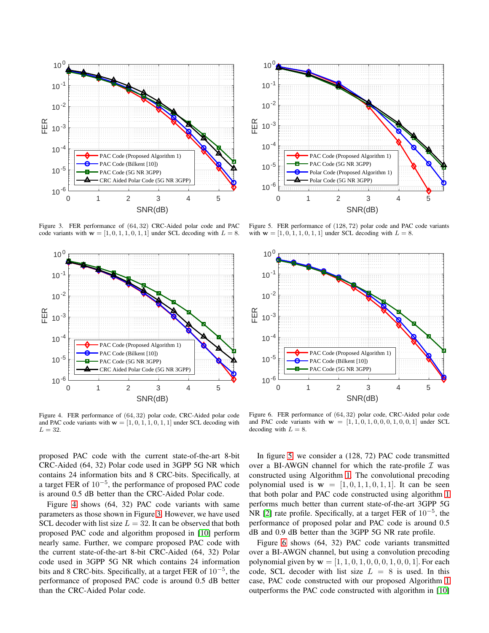

<span id="page-4-0"></span>Figure 3. FER performance of (64, 32) CRC-Aided polar code and PAC code variants with  $\mathbf{w} = [1, 0, 1, 1, 0, 1, 1]$  under SCL decoding with  $L = 8$ .



<span id="page-4-1"></span>Figure 4. FER performance of (64, 32) polar code, CRC-Aided polar code and PAC code variants with  $\mathbf{w} = [1, 0, 1, 1, 0, 1, 1]$  under SCL decoding with  $L = 32$ .

proposed PAC code with the current state-of-the-art 8-bit CRC-Aided (64, 32) Polar code used in 3GPP 5G NR which contains 24 information bits and 8 CRC-bits. Specifically, at a target FER of 10<sup>−</sup><sup>5</sup> , the performance of proposed PAC code is around 0.5 dB better than the CRC-Aided Polar code.

Figure [4](#page-4-1) shows (64, 32) PAC code variants with same parameters as those shown in Figure [3.](#page-4-0) However, we have used SCL decoder with list size  $L = 32$ . It can be observed that both proposed PAC code and algorithm proposed in [\[10\]](#page-5-9) perform nearly same. Further, we compare proposed PAC code with the current state-of-the-art 8-bit CRC-Aided (64, 32) Polar code used in 3GPP 5G NR which contains 24 information bits and 8 CRC-bits. Specifically, at a target FER of  $10^{-5}$ , the performance of proposed PAC code is around 0.5 dB better than the CRC-Aided Polar code.



<span id="page-4-2"></span>Figure 5. FER performance of (128, 72) polar code and PAC code variants with  $w = [1, 0, 1, 1, 0, 1, 1]$  under SCL decoding with  $L = 8$ .



<span id="page-4-3"></span>Figure 6. FER performance of (64, 32) polar code, CRC-Aided polar code and PAC code variants with  $w = [1, 1, 0, 1, 0, 0, 0, 1, 0, 0, 1]$  under SCL decoding with  $L = 8$ .

In figure [5,](#page-4-2) we consider a (128, 72) PAC code transmitted over a BI-AWGN channel for which the rate-profile  $\mathcal I$  was constructed using Algorithm [1.](#page-1-1) The convolutional precoding polynomial used is  $\mathbf{w} = [1, 0, 1, 1, 0, 1, 1]$ . It can be seen that both polar and PAC code constructed using algorithm [1](#page-1-1) performs much better than current state-of-the-art 3GPP 5G NR [\[2\]](#page-5-1) rate profile. Specifically, at a target FER of  $10^{-5}$ , the performance of proposed polar and PAC code is around 0.5 dB and 0.9 dB better than the 3GPP 5G NR rate profile.

Figure [6](#page-4-3) shows (64, 32) PAC code variants transmitted over a BI-AWGN channel, but using a convolution precoding polynomial given by  $w = [1, 1, 0, 1, 0, 0, 0, 1, 0, 0, 1]$ . For each code, SCL decoder with list size  $L = 8$  is used. In this case, PAC code constructed with our proposed Algorithm [1](#page-1-1) outperforms the PAC code constructed with algorithm in [\[10\]](#page-5-9)